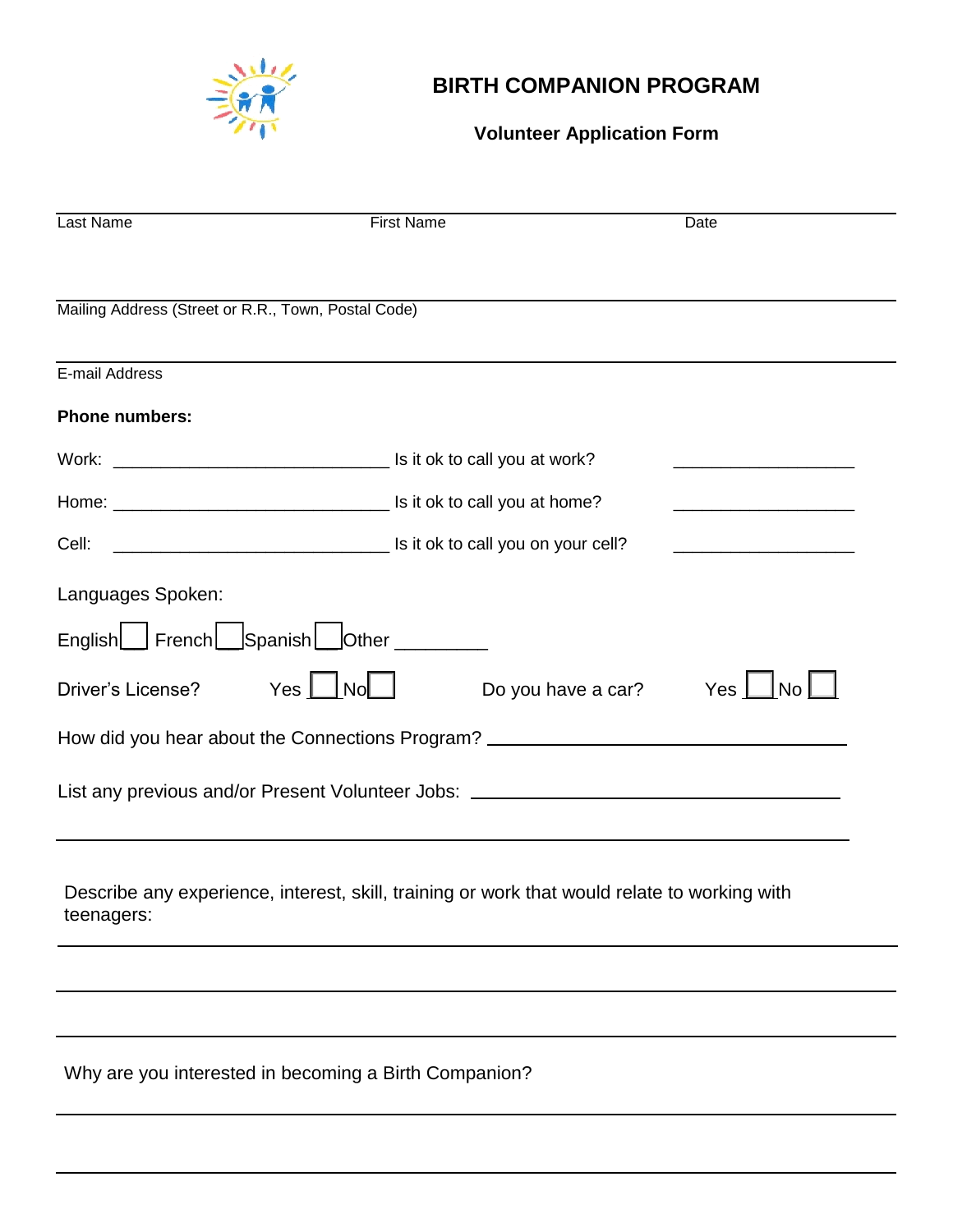

## **BIRTH COMPANION PROGRAM**

## **Volunteer Application Form**

| Last Name                                           | <b>First Name</b>                                     |                                                                                                                                                                                   | Date |
|-----------------------------------------------------|-------------------------------------------------------|-----------------------------------------------------------------------------------------------------------------------------------------------------------------------------------|------|
|                                                     |                                                       |                                                                                                                                                                                   |      |
| Mailing Address (Street or R.R., Town, Postal Code) |                                                       |                                                                                                                                                                                   |      |
| E-mail Address                                      |                                                       |                                                                                                                                                                                   |      |
| <b>Phone numbers:</b>                               |                                                       |                                                                                                                                                                                   |      |
|                                                     |                                                       |                                                                                                                                                                                   |      |
|                                                     |                                                       |                                                                                                                                                                                   |      |
|                                                     |                                                       |                                                                                                                                                                                   |      |
| Languages Spoken:                                   |                                                       |                                                                                                                                                                                   |      |
|                                                     | English French Spanish Other                          |                                                                                                                                                                                   |      |
| Driver's License?                                   | $Yes \Box No \Box$                                    | Do you have a car? Yes $\Box$ No                                                                                                                                                  |      |
|                                                     |                                                       | How did you hear about the Connections Program? ________________________________                                                                                                  |      |
|                                                     |                                                       | List any previous and/or Present Volunteer Jobs: _______________________________                                                                                                  |      |
| teenagers:                                          |                                                       | ,我们也不能会有什么。""我们的人,我们也不能会有什么?""我们的人,我们也不能会有什么?""我们的人,我们也不能会有什么?""我们的人,我们也不能会有什么?""<br>Describe any experience, interest, skill, training or work that would relate to working with |      |
|                                                     | Why are you interested in becoming a Birth Companion? |                                                                                                                                                                                   |      |